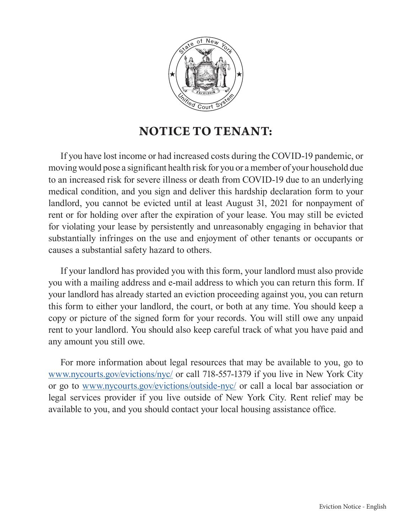

## **NOTICE TO TENANT:**

If you have lost income or had increased costs during the COVID-19 pandemic, or moving would pose a significant health risk for you or a member of your household due to an increased risk for severe illness or death from COVID-19 due to an underlying medical condition, and you sign and deliver this hardship declaration form to your landlord, you cannot be evicted until at least August 31, 2021 for nonpayment of rent or for holding over after the expiration of your lease. You may still be evicted for violating your lease by persistently and unreasonably engaging in behavior that substantially infringes on the use and enjoyment of other tenants or occupants or causes a substantial safety hazard to others.

If your landlord has provided you with this form, your landlord must also provide you with a mailing address and e-mail address to which you can return this form. If your landlord has already started an eviction proceeding against you, you can return this form to either your landlord, the court, or both at any time. You should keep a copy or picture of the signed form for your records. You will still owe any unpaid rent to your landlord. You should also keep careful track of what you have paid and any amount you still owe.

For more information about legal resources that may be available to you, go to [www.nycourts.gov/evictions/nyc/](http://www.nycourts.gov/evictions/nyc/) or call 718-557-1379 if you live in New York City or go to [www.nycourts.gov/evictions/outside-nyc/](http://www.nycourts.gov/evictions/outside-nyc/) or call a local bar association or legal services provider if you live outside of New York City. Rent relief may be available to you, and you should contact your local housing assistance office.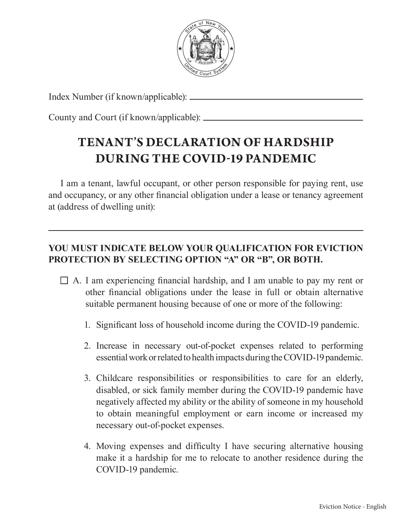

Index Number (if known/applicable):

County and Court (if known/applicable):

## **TENANT'S DECLARATION OF HARDSHIP DURING THE COVID-19 PANDEMIC**

I am a tenant, lawful occupant, or other person responsible for paying rent, use and occupancy, or any other financial obligation under a lease or tenancy agreement at (address of dwelling unit):

## **YOU MUST INDICATE BELOW YOUR QUALIFICATION FOR EVICTION PROTECTION BY SELECTING OPTION "A" OR "B", OR BOTH.**

- $\Box$  A. I am experiencing financial hardship, and I am unable to pay my rent or other financial obligations under the lease in full or obtain alternative suitable permanent housing because of one or more of the following:
	- 1. Significant loss of household income during the COVID-19 pandemic.
	- 2. Increase in necessary out-of-pocket expenses related to performing essential work or related to health impacts during the COVID-19 pandemic.
	- 3. Childcare responsibilities or responsibilities to care for an elderly, disabled, or sick family member during the COVID-19 pandemic have negatively affected my ability or the ability of someone in my household to obtain meaningful employment or earn income or increased my necessary out-of-pocket expenses.
	- 4. Moving expenses and difficulty I have securing alternative housing make it a hardship for me to relocate to another residence during the COVID-19 pandemic.